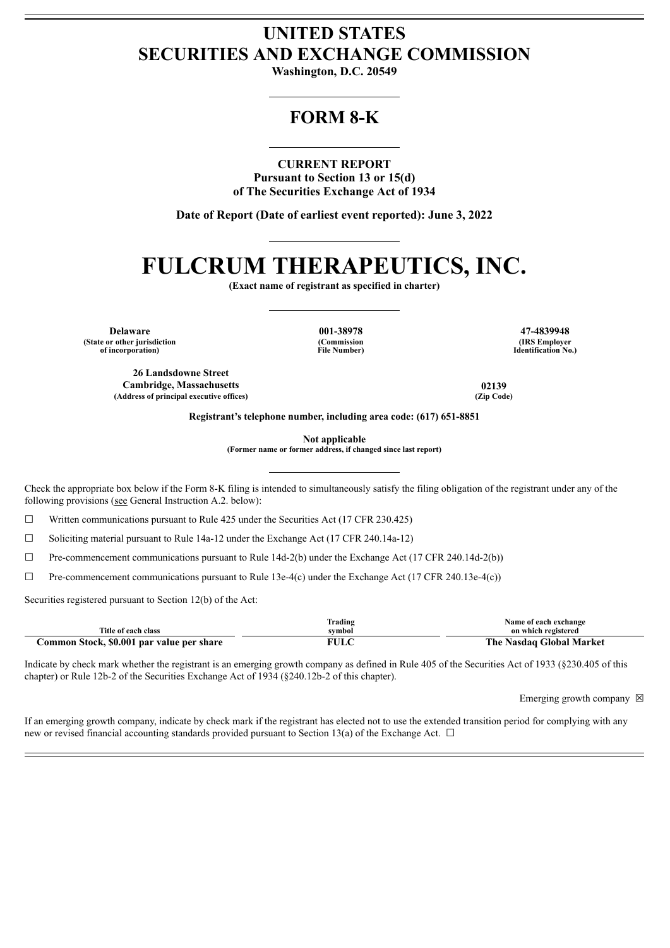## **UNITED STATES SECURITIES AND EXCHANGE COMMISSION**

**Washington, D.C. 20549**

## **FORM 8-K**

**CURRENT REPORT**

**Pursuant to Section 13 or 15(d) of The Securities Exchange Act of 1934**

**Date of Report (Date of earliest event reported): June 3, 2022**

# **FULCRUM THERAPEUTICS, INC.**

**(Exact name of registrant as specified in charter)**

**Delaware 001-38978 47-4839948 (State or other jurisdiction of incorporation)**

**(Commission File Number)**

**(IRS Employer Identification No.)**

**26 Landsdowne Street Cambridge, Massachusetts 02139 (Address of principal executive offices) (Zip Code)**

**Registrant's telephone number, including area code: (617) 651-8851**

**Not applicable**

**(Former name or former address, if changed since last report)**

Check the appropriate box below if the Form 8-K filing is intended to simultaneously satisfy the filing obligation of the registrant under any of the following provisions (see General Instruction A.2. below):

 $\Box$  Written communications pursuant to Rule 425 under the Securities Act (17 CFR 230.425)

☐ Soliciting material pursuant to Rule 14a-12 under the Exchange Act (17 CFR 240.14a-12)

 $\Box$  Pre-commencement communications pursuant to Rule 14d-2(b) under the Exchange Act (17 CFR 240.14d-2(b))

 $\Box$  Pre-commencement communications pursuant to Rule 13e-4(c) under the Exchange Act (17 CFR 240.13e-4(c))

Securities registered pursuant to Section 12(b) of the Act:

|                                           | [rading      | Name of each exchange              |
|-------------------------------------------|--------------|------------------------------------|
| Title of each class                       | symbol       | on which registered                |
| Common Stock, \$0.001 par value per share | ा मा<br>'ULU | <b>Nasdaq Global Market</b><br>The |

Indicate by check mark whether the registrant is an emerging growth company as defined in Rule 405 of the Securities Act of 1933 (§230.405 of this chapter) or Rule 12b-2 of the Securities Exchange Act of 1934 (§240.12b-2 of this chapter).

Emerging growth company  $\boxtimes$ 

If an emerging growth company, indicate by check mark if the registrant has elected not to use the extended transition period for complying with any new or revised financial accounting standards provided pursuant to Section 13(a) of the Exchange Act.  $\Box$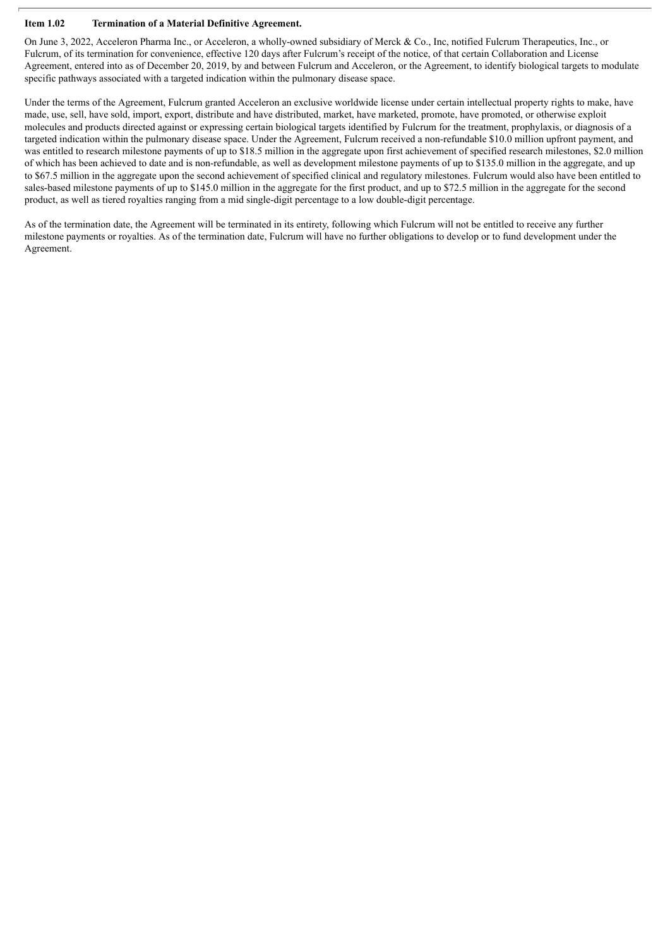#### **Item 1.02 Termination of a Material Definitive Agreement.**

On June 3, 2022, Acceleron Pharma Inc., or Acceleron, a wholly-owned subsidiary of Merck & Co., Inc, notified Fulcrum Therapeutics, Inc., or Fulcrum, of its termination for convenience, effective 120 days after Fulcrum's receipt of the notice, of that certain Collaboration and License Agreement, entered into as of December 20, 2019, by and between Fulcrum and Acceleron, or the Agreement, to identify biological targets to modulate specific pathways associated with a targeted indication within the pulmonary disease space.

Under the terms of the Agreement, Fulcrum granted Acceleron an exclusive worldwide license under certain intellectual property rights to make, have made, use, sell, have sold, import, export, distribute and have distributed, market, have marketed, promote, have promoted, or otherwise exploit molecules and products directed against or expressing certain biological targets identified by Fulcrum for the treatment, prophylaxis, or diagnosis of a targeted indication within the pulmonary disease space. Under the Agreement, Fulcrum received a non-refundable \$10.0 million upfront payment, and was entitled to research milestone payments of up to \$18.5 million in the aggregate upon first achievement of specified research milestones, \$2.0 million of which has been achieved to date and is non-refundable, as well as development milestone payments of up to \$135.0 million in the aggregate, and up to \$67.5 million in the aggregate upon the second achievement of specified clinical and regulatory milestones. Fulcrum would also have been entitled to sales-based milestone payments of up to \$145.0 million in the aggregate for the first product, and up to \$72.5 million in the aggregate for the second product, as well as tiered royalties ranging from a mid single-digit percentage to a low double-digit percentage.

As of the termination date, the Agreement will be terminated in its entirety, following which Fulcrum will not be entitled to receive any further milestone payments or royalties. As of the termination date, Fulcrum will have no further obligations to develop or to fund development under the Agreement.